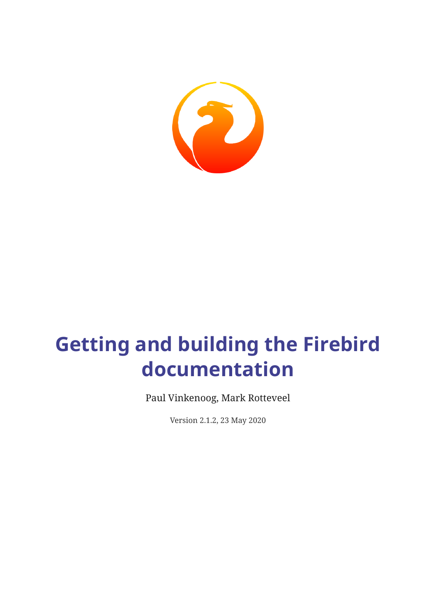

# **Getting and building the Firebird documentation**

Paul Vinkenoog, Mark Rotteveel

Version 2.1.2, 23 May 2020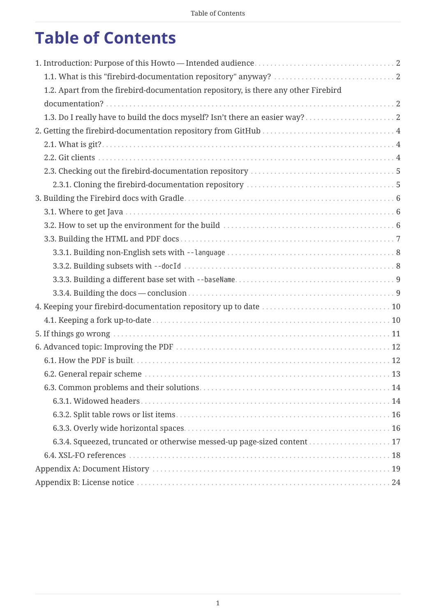# **Table of Contents**

| 1.2. Apart from the firebird-documentation repository, is there any other Firebird |  |
|------------------------------------------------------------------------------------|--|
|                                                                                    |  |
|                                                                                    |  |
|                                                                                    |  |
|                                                                                    |  |
|                                                                                    |  |
|                                                                                    |  |
|                                                                                    |  |
|                                                                                    |  |
|                                                                                    |  |
|                                                                                    |  |
|                                                                                    |  |
|                                                                                    |  |
|                                                                                    |  |
|                                                                                    |  |
|                                                                                    |  |
|                                                                                    |  |
|                                                                                    |  |
|                                                                                    |  |
|                                                                                    |  |
|                                                                                    |  |
|                                                                                    |  |
|                                                                                    |  |
|                                                                                    |  |
|                                                                                    |  |
|                                                                                    |  |
| 6.3.4. Squeezed, truncated or otherwise messed-up page-sized content  17           |  |
|                                                                                    |  |
|                                                                                    |  |
|                                                                                    |  |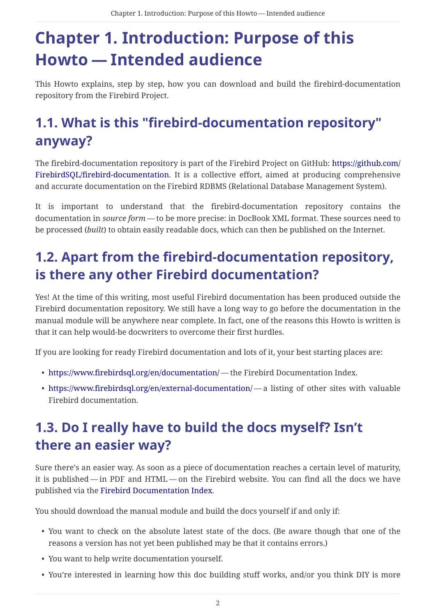# <span id="page-2-0"></span>**Chapter 1. Introduction: Purpose of this Howto — Intended audience**

This Howto explains, step by step, how you can download and build the firebird-documentation repository from the Firebird Project.

## <span id="page-2-1"></span>**1.1. What is this "firebird-documentation repository" anyway?**

The firebird-documentation repository is part of the Firebird Project on GitHub: [https://github.com/](https://github.com/FirebirdSQL/firebird-documentation) [FirebirdSQL/firebird-documentation.](https://github.com/FirebirdSQL/firebird-documentation) It is a collective effort, aimed at producing comprehensive and accurate documentation on the Firebird RDBMS (Relational Database Management System).

It is important to understand that the firebird-documentation repository contains the documentation in *source form* — to be more precise: in DocBook XML format. These sources need to be processed (*built*) to obtain easily readable docs, which can then be published on the Internet.

## <span id="page-2-2"></span>**1.2. Apart from the firebird-documentation repository, is there any other Firebird documentation?**

Yes! At the time of this writing, most useful Firebird documentation has been produced outside the Firebird documentation repository. We still have a long way to go before the documentation in the manual module will be anywhere near complete. In fact, one of the reasons this Howto is written is that it can help would-be docwriters to overcome their first hurdles.

If you are looking for ready Firebird documentation and lots of it, your best starting places are:

- <https://www.firebirdsql.org/en/documentation/> the Firebird Documentation Index.
- <https://www.firebirdsql.org/en/external-documentation/> a listing of other sites with valuable Firebird documentation.

## <span id="page-2-3"></span>**1.3. Do I really have to build the docs myself? Isn't there an easier way?**

Sure there's an easier way. As soon as a piece of documentation reaches a certain level of maturity, it is published — in PDF and HTML — on the Firebird website. You can find all the docs we have published via the [Firebird Documentation Index](https://www.firebirdsql.org/en/documentation/).

You should download the manual module and build the docs yourself if and only if:

- You want to check on the absolute latest state of the docs. (Be aware though that one of the reasons a version has not yet been published may be that it contains errors.)
- You want to help write documentation yourself.
- You're interested in learning how this doc building stuff works, and/or you think DIY is more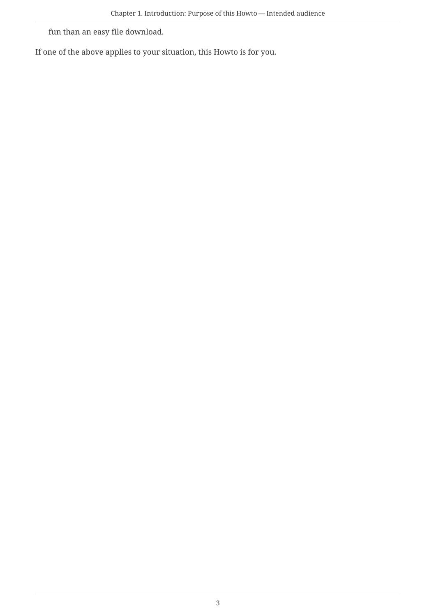fun than an easy file download.

If one of the above applies to your situation, this Howto is for you.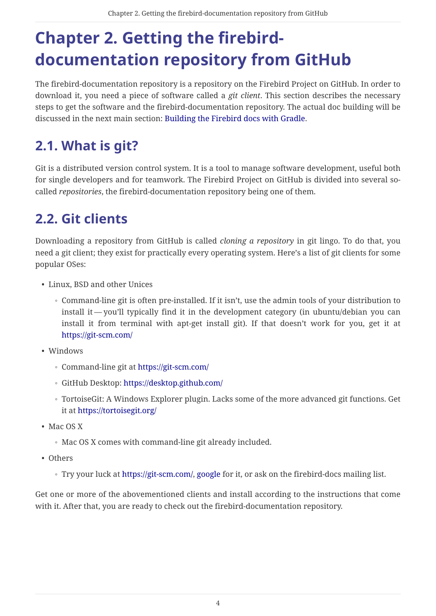# <span id="page-4-0"></span>**Chapter 2. Getting the firebirddocumentation repository from GitHub**

The firebird-documentation repository is a repository on the Firebird Project on GitHub. In order to download it, you need a piece of software called a *git client*. This section describes the necessary steps to get the software and the firebird-documentation repository. The actual doc building will be discussed in the next main section: [Building the Firebird docs with Gradle.](#page-6-0)

## <span id="page-4-1"></span>**2.1. What is git?**

Git is a distributed version control system. It is a tool to manage software development, useful both for single developers and for teamwork. The Firebird Project on GitHub is divided into several socalled *repositories*, the firebird-documentation repository being one of them.

## <span id="page-4-2"></span>**2.2. Git clients**

Downloading a repository from GitHub is called *cloning a repository* in git lingo. To do that, you need a git client; they exist for practically every operating system. Here's a list of git clients for some popular OSes:

- Linux, BSD and other Unices
	- Command-line git is often pre-installed. If it isn't, use the admin tools of your distribution to install it — you'll typically find it in the development category (in ubuntu/debian you can install it from terminal with apt-get install git). If that doesn't work for you, get it at <https://git-scm.com/>
- Windows
	- Command-line git at<https://git-scm.com/>
	- GitHub Desktop: <https://desktop.github.com/>
	- TortoiseGit: A Windows Explorer plugin. Lacks some of the more advanced git functions. Get it at<https://tortoisegit.org/>
- Mac OS X
	- Mac OS X comes with command-line git already included.
- Others
	- Try your luck at [https://git-scm.com/,](https://git-scm.com/) [google](https://www.google.com) for it, or ask on the firebird-docs mailing list.

Get one or more of the abovementioned clients and install according to the instructions that come with it. After that, you are ready to check out the firebird-documentation repository.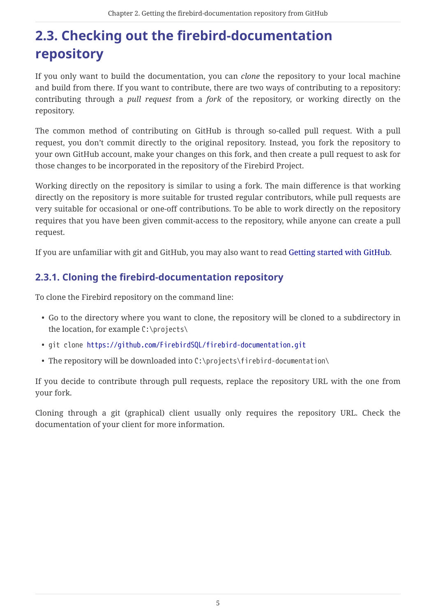## <span id="page-5-0"></span>**2.3. Checking out the firebird-documentation repository**

If you only want to build the documentation, you can *clone* the repository to your local machine and build from there. If you want to contribute, there are two ways of contributing to a repository: contributing through a *pull request* from a *fork* of the repository, or working directly on the repository.

The common method of contributing on GitHub is through so-called pull request. With a pull request, you don't commit directly to the original repository. Instead, you fork the repository to your own GitHub account, make your changes on this fork, and then create a pull request to ask for those changes to be incorporated in the repository of the Firebird Project.

Working directly on the repository is similar to using a fork. The main difference is that working directly on the repository is more suitable for trusted regular contributors, while pull requests are very suitable for occasional or one-off contributions. To be able to work directly on the repository requires that you have been given commit-access to the repository, while anyone can create a pull request.

If you are unfamiliar with git and GitHub, you may also want to read [Getting started with GitHub](https://help.github.com/en/github/getting-started-with-github).

### <span id="page-5-1"></span>**2.3.1. Cloning the firebird-documentation repository**

To clone the Firebird repository on the command line:

- Go to the directory where you want to clone, the repository will be cloned to a subdirectory in the location, for example C:\projects\
- git clone <https://github.com/FirebirdSQL/firebird-documentation.git>
- The repository will be downloaded into C:\projects\firebird-documentation\

If you decide to contribute through pull requests, replace the repository URL with the one from your fork.

Cloning through a git (graphical) client usually only requires the repository URL. Check the documentation of your client for more information.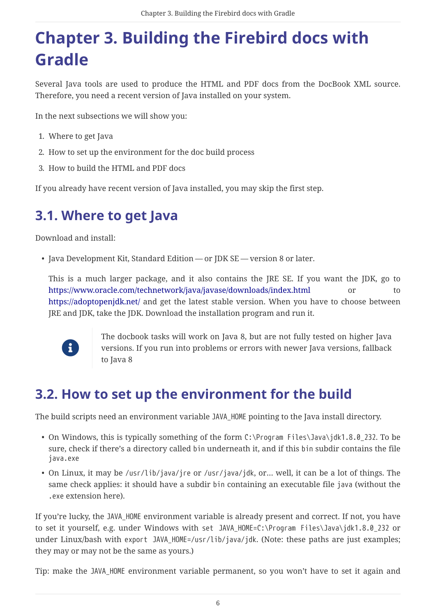# <span id="page-6-0"></span>**Chapter 3. Building the Firebird docs with Gradle**

Several Java tools are used to produce the HTML and PDF docs from the DocBook XML source. Therefore, you need a recent version of Java installed on your system.

In the next subsections we will show you:

- 1. Where to get Java
- 2. How to set up the environment for the doc build process
- 3. How to build the HTML and PDF docs

If you already have recent version of Java installed, you may skip the first step.

## <span id="page-6-1"></span>**3.1. Where to get Java**

Download and install:

• Java Development Kit, Standard Edition — or JDK SE — version 8 or later.

This is a much larger package, and it also contains the JRE SE. If you want the JDK, go to <https://www.oracle.com/technetwork/java/javase/downloads/index.html> or to <https://adoptopenjdk.net/> and get the latest stable version. When you have to choose between JRE and JDK, take the JDK. Download the installation program and run it.



The docbook tasks will work on Java 8, but are not fully tested on higher Java versions. If you run into problems or errors with newer Java versions, fallback to Java 8

## <span id="page-6-2"></span>**3.2. How to set up the environment for the build**

The build scripts need an environment variable JAVA\_HOME pointing to the Java install directory.

- On Windows, this is typically something of the form C:\Program Files\Java\jdk1.8.0\_232. To be sure, check if there's a directory called bin underneath it, and if this bin subdir contains the file java.exe
- On Linux, it may be /usr/lib/java/jre or /usr/java/jdk, or… well, it can be a lot of things. The same check applies: it should have a subdir bin containing an executable file java (without the .exe extension here).

If you're lucky, the JAVA HOME environment variable is already present and correct. If not, you have to set it yourself, e.g. under Windows with set JAVA HOME=C:\Program Files\Java\jdk1.8.0 232 or under Linux/bash with export JAVA HOME=/usr/lib/java/jdk. (Note: these paths are just examples; they may or may not be the same as yours.)

Tip: make the JAVA\_HOME environment variable permanent, so you won't have to set it again and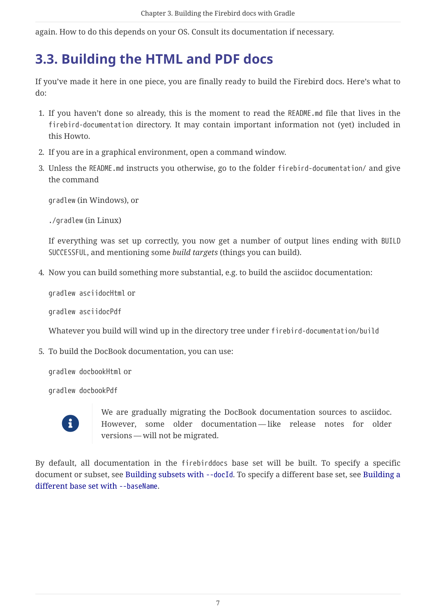again. How to do this depends on your OS. Consult its documentation if necessary.

## <span id="page-7-0"></span>**3.3. Building the HTML and PDF docs**

If you've made it here in one piece, you are finally ready to build the Firebird docs. Here's what to do:

- 1. If you haven't done so already, this is the moment to read the README.md file that lives in the firebird-documentation directory. It may contain important information not (yet) included in this Howto.
- 2. If you are in a graphical environment, open a command window.
- 3. Unless the README.md instructs you otherwise, go to the folder firebird-documentation/ and give the command

gradlew (in Windows), or

./gradlew (in Linux)

If everything was set up correctly, you now get a number of output lines ending with BUILD SUCCESSFUL, and mentioning some *build targets* (things you can build).

4. Now you can build something more substantial, e.g. to build the asciidoc documentation:

gradlew asciidocHtml or

gradlew asciidocPdf

Whatever you build will wind up in the directory tree under firebird-documentation/build

5. To build the DocBook documentation, you can use:

gradlew docbookHtml or

gradlew docbookPdf



We are gradually migrating the DocBook documentation sources to asciidoc. However, some older documentation — like release notes for older versions — will not be migrated.

By default, all documentation in the firebirddocs base set will be built. To specify a specific document or subset, see [Building subsets with](#page-8-1) [--docId](#page-8-1). To specify a different base set, see [Building a](#page-9-0) [different base set with](#page-9-0) [--baseName](#page-9-0).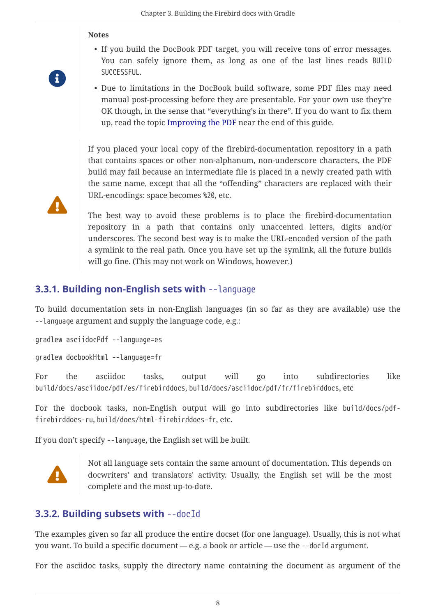#### **Notes**

- If you build the DocBook PDF target, you will receive tons of error messages. You can safely ignore them, as long as one of the last lines reads BUILD SUCCESSFUL.
- 8

 $\blacktriangle$ 

• Due to limitations in the DocBook build software, some PDF files may need manual post-processing before they are presentable. For your own use they're OK though, in the sense that "everything's in there". If you do want to fix them up, read the topic [Improving the PDF](#page-12-0) near the end of this guide.

If you placed your local copy of the firebird-documentation repository in a path that contains spaces or other non-alphanum, non-underscore characters, the PDF build may fail because an intermediate file is placed in a newly created path with the same name, except that all the "offending" characters are replaced with their URL-encodings: space becomes %20, etc.

The best way to avoid these problems is to place the firebird-documentation repository in a path that contains only unaccented letters, digits and/or underscores. The second best way is to make the URL-encoded version of the path a symlink to the real path. Once you have set up the symlink, all the future builds will go fine. (This may not work on Windows, however.)

### <span id="page-8-0"></span>**3.3.1. Building non-English sets with** --language

To build documentation sets in non-English languages (in so far as they are available) use the --language argument and supply the language code, e.g.:

gradlew asciidocPdf --language=es

gradlew docbookHtml --language=fr

For the asciidoc tasks, output will go into subdirectories like build/docs/asciidoc/pdf/es/firebirddocs, build/docs/asciidoc/pdf/fr/firebirddocs, etc

For the docbook tasks, non-English output will go into subdirectories like build/docs/pdffirebirddocs-ru, build/docs/html-firebirddocs-fr, etc.

If you don't specify --language, the English set will be built.



Not all language sets contain the same amount of documentation. This depends on docwriters' and translators' activity. Usually, the English set will be the most complete and the most up-to-date.

### <span id="page-8-1"></span>**3.3.2. Building subsets with** --docId

The examples given so far all produce the entire docset (for one language). Usually, this is not what you want. To build a specific document — e.g. a book or article — use the --docId argument.

For the asciidoc tasks, supply the directory name containing the document as argument of the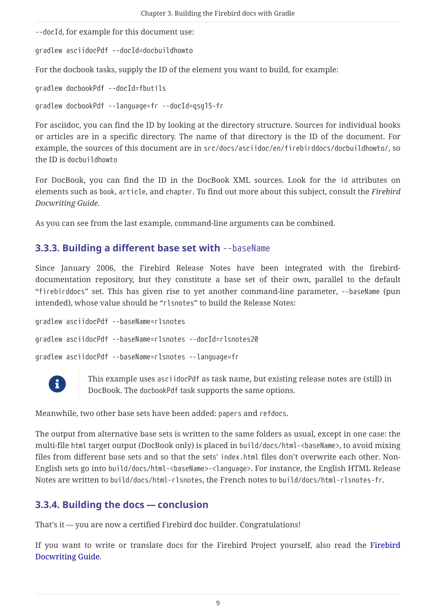--docId, for example for this document use:

gradlew asciidocPdf --docId=docbuildhowto

For the docbook tasks, supply the ID of the element you want to build, for example:

gradlew docbookPdf --docId=fbutils

gradlew docbookPdf --language=fr --docId=qsg15-fr

For asciidoc, you can find the ID by looking at the directory structure. Sources for individual books or articles are in a specific directory. The name of that directory is the ID of the document. For example, the sources of this document are in src/docs/asciidoc/en/firebirddocs/docbuildhowto/, so the ID is docbuildhowto

For DocBook, you can find the ID in the DocBook XML sources. Look for the id attributes on elements such as book, article, and chapter. To find out more about this subject, consult the *Firebird Docwriting Guide*.

As you can see from the last example, command-line arguments can be combined.

### <span id="page-9-0"></span>**3.3.3. Building a different base set with --baseName**

Since January 2006, the Firebird Release Notes have been integrated with the firebirddocumentation repository, but they constitute a base set of their own, parallel to the default "firebirddocs" set. This has given rise to yet another command-line parameter, --baseName (pun intended), whose value should be "rlsnotes" to build the Release Notes:

```
gradlew asciidocPdf --baseName=rlsnotes
gradlew asciidocPdf --baseName=rlsnotes --docId=rlsnotes20
gradlew asciidocPdf --baseName=rlsnotes --language=fr
```


This example uses asciidocPdf as task name, but existing release notes are (still) in DocBook. The docbookPdf task supports the same options.

Meanwhile, two other base sets have been added: papers and refdocs.

The output from alternative base sets is written to the same folders as usual, except in one case: the multi-file html target output (DocBook only) is placed in build/docs/html-<baseName>, to avoid mixing files from different base sets and so that the sets' index.html files don't overwrite each other. Non-English sets go into build/docs/html-<br/>baseName>-<language>. For instance, the English HTML Release Notes are written to build/docs/html-rlsnotes, the French notes to build/docs/html-rlsnotes-fr.

### <span id="page-9-1"></span>**3.3.4. Building the docs — conclusion**

That's it — you are now a certified Firebird doc builder. Congratulations!

If you want to write or translate docs for the Firebird Project yourself, also read the [Firebird](https://www.firebirdsql.org/file/documentation/html/en/firebirddocs/docwritehowto/firebird-docwriting-guide.html) [Docwriting Guide](https://www.firebirdsql.org/file/documentation/html/en/firebirddocs/docwritehowto/firebird-docwriting-guide.html).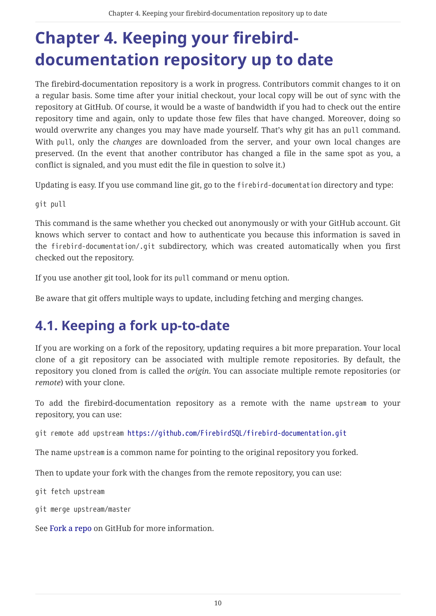# <span id="page-10-0"></span>**Chapter 4. Keeping your firebirddocumentation repository up to date**

The firebird-documentation repository is a work in progress. Contributors commit changes to it on a regular basis. Some time after your initial checkout, your local copy will be out of sync with the repository at GitHub. Of course, it would be a waste of bandwidth if you had to check out the entire repository time and again, only to update those few files that have changed. Moreover, doing so would overwrite any changes you may have made yourself. That's why git has an pull command. With pull, only the *changes* are downloaded from the server, and your own local changes are preserved. (In the event that another contributor has changed a file in the same spot as you, a conflict is signaled, and you must edit the file in question to solve it.)

Updating is easy. If you use command line git, go to the firebird-documentation directory and type:

git pull

This command is the same whether you checked out anonymously or with your GitHub account. Git knows which server to contact and how to authenticate you because this information is saved in the firebird-documentation/.git subdirectory, which was created automatically when you first checked out the repository.

If you use another git tool, look for its pull command or menu option.

Be aware that git offers multiple ways to update, including fetching and merging changes.

## <span id="page-10-1"></span>**4.1. Keeping a fork up-to-date**

If you are working on a fork of the repository, updating requires a bit more preparation. Your local clone of a git repository can be associated with multiple remote repositories. By default, the repository you cloned from is called the *origin*. You can associate multiple remote repositories (or *remote*) with your clone.

To add the firebird-documentation repository as a remote with the name upstream to your repository, you can use:

git remote add upstream<https://github.com/FirebirdSQL/firebird-documentation.git>

The name upstream is a common name for pointing to the original repository you forked.

Then to update your fork with the changes from the remote repository, you can use:

git fetch upstream

git merge upstream/master

See [Fork a repo](https://help.github.com/en/github/getting-started-with-github/fork-a-repo) on GitHub for more information.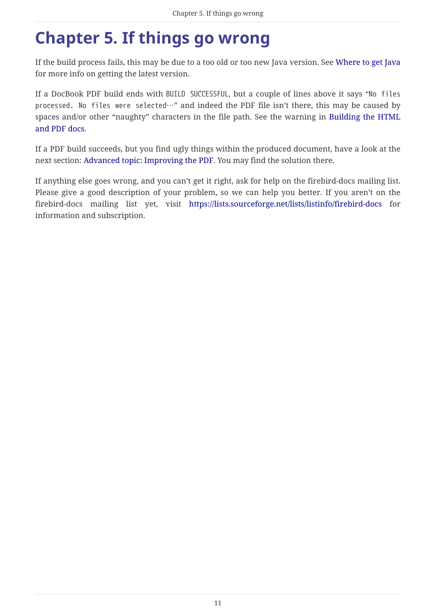# <span id="page-11-0"></span>**Chapter 5. If things go wrong**

If the build process fails, this may be due to a too old or too new Java version. See [Where to get Java](#page-6-1) for more info on getting the latest version.

If a DocBook PDF build ends with BUILD SUCCESSFUL, but a couple of lines above it says "No files processed. No files were selected…" and indeed the PDF file isn't there, this may be caused by spaces and/or other "naughty" characters in the file path. See the warning in [Building the HTML](#page-7-0) [and PDF docs](#page-7-0).

If a PDF build succeeds, but you find ugly things within the produced document, have a look at the next section: [Advanced topic: Improving the PDF.](#page-12-0) You may find the solution there.

If anything else goes wrong, and you can't get it right, ask for help on the firebird-docs mailing list. Please give a good description of your problem, so we can help you better. If you aren't on the firebird-docs mailing list yet, visit <https://lists.sourceforge.net/lists/listinfo/firebird-docs>for information and subscription.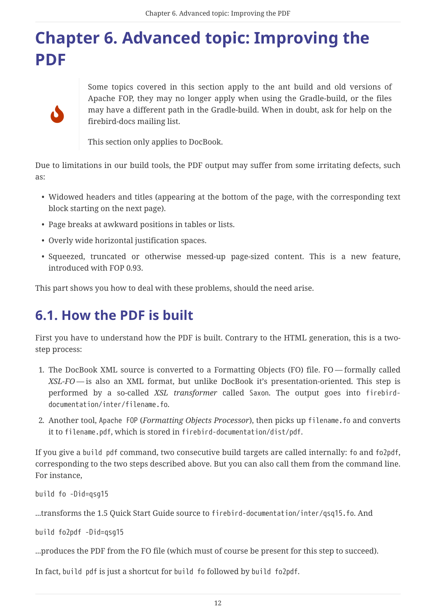# <span id="page-12-0"></span>**Chapter 6. Advanced topic: Improving the PDF**



Some topics covered in this section apply to the ant build and old versions of Apache FOP, they may no longer apply when using the Gradle-build, or the files may have a different path in the Gradle-build. When in doubt, ask for help on the firebird-docs mailing list.

This section only applies to DocBook.

Due to limitations in our build tools, the PDF output may suffer from some irritating defects, such as:

- Widowed headers and titles (appearing at the bottom of the page, with the corresponding text block starting on the next page).
- Page breaks at awkward positions in tables or lists.
- Overly wide horizontal justification spaces.
- Squeezed, truncated or otherwise messed-up page-sized content. This is a new feature, introduced with FOP 0.93.

This part shows you how to deal with these problems, should the need arise.

## <span id="page-12-1"></span>**6.1. How the PDF is built**

First you have to understand how the PDF is built. Contrary to the HTML generation, this is a twostep process:

- 1. The DocBook XML source is converted to a Formatting Objects (FO) file. FO formally called *XSL-FO* — is also an XML format, but unlike DocBook it's presentation-oriented. This step is performed by a so-called *XSL transformer* called Saxon. The output goes into firebirddocumentation/inter/filename.fo.
- 2. Another tool, Apache FOP (*Formatting Objects Processor*), then picks up filename.fo and converts it to filename.pdf, which is stored in firebird-documentation/dist/pdf.

If you give a build pdf command, two consecutive build targets are called internally: fo and fo2pdf, corresponding to the two steps described above. But you can also call them from the command line. For instance,

build fo -Did=qsg15

...transforms the 1.5 Quick Start Guide source to firebird-documentation/inter/qsq15.fo. And

build fo2pdf -Did=qsg15

...produces the PDF from the FO file (which must of course be present for this step to succeed).

In fact, build pdf is just a shortcut for build fo followed by build fo2pdf.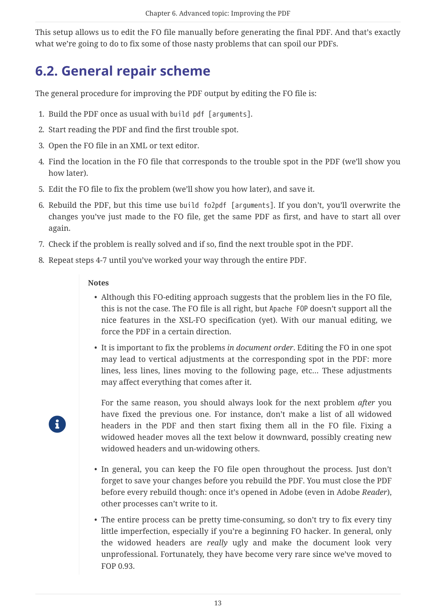This setup allows us to edit the FO file manually before generating the final PDF. And that's exactly what we're going to do to fix some of those nasty problems that can spoil our PDFs.

## <span id="page-13-0"></span>**6.2. General repair scheme**

The general procedure for improving the PDF output by editing the FO file is:

- 1. Build the PDF once as usual with build pdf [arguments].
- 2. Start reading the PDF and find the first trouble spot.
- 3. Open the FO file in an XML or text editor.
- 4. Find the location in the FO file that corresponds to the trouble spot in the PDF (we'll show you how later).
- 5. Edit the FO file to fix the problem (we'll show you how later), and save it.
- 6. Rebuild the PDF, but this time use build fo2pdf [arguments]. If you don't, you'll overwrite the changes you've just made to the FO file, get the same PDF as first, and have to start all over again.
- 7. Check if the problem is really solved and if so, find the next trouble spot in the PDF.
- 8. Repeat steps 4-7 until you've worked your way through the entire PDF.

#### **Notes**

R

- Although this FO-editing approach suggests that the problem lies in the FO file, this is not the case. The FO file is all right, but Apache FOP doesn't support all the nice features in the XSL-FO specification (yet). With our manual editing, we force the PDF in a certain direction.
- It is important to fix the problems *in document order*. Editing the FO in one spot may lead to vertical adjustments at the corresponding spot in the PDF: more lines, less lines, lines moving to the following page, etc… These adjustments may affect everything that comes after it.

For the same reason, you should always look for the next problem *after* you have fixed the previous one. For instance, don't make a list of all widowed headers in the PDF and then start fixing them all in the FO file. Fixing a widowed header moves all the text below it downward, possibly creating new widowed headers and un-widowing others.

- In general, you can keep the FO file open throughout the process. Just don't forget to save your changes before you rebuild the PDF. You must close the PDF before every rebuild though: once it's opened in Adobe (even in Adobe *Reader*), other processes can't write to it.
- The entire process can be pretty time-consuming, so don't try to fix every tiny little imperfection, especially if you're a beginning FO hacker. In general, only the widowed headers are *really* ugly and make the document look very unprofessional. Fortunately, they have become very rare since we've moved to FOP 0.93.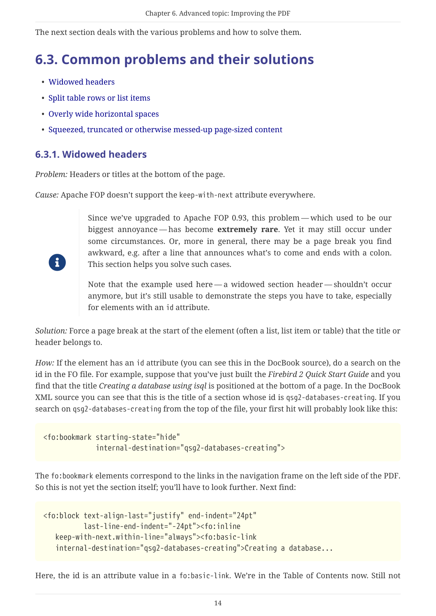The next section deals with the various problems and how to solve them.

## <span id="page-14-0"></span>**6.3. Common problems and their solutions**

- [Widowed headers](#page-14-1)
- [Split table rows or list items](#page-16-0)
- [Overly wide horizontal spaces](#page-16-1)
- [Squeezed, truncated or otherwise messed-up page-sized content](#page-17-0)

### <span id="page-14-1"></span>**6.3.1. Widowed headers**

 $\ddot{\mathbf{r}}$ 

*Problem:* Headers or titles at the bottom of the page.

*Cause:* Apache FOP doesn't support the keep-with-next attribute everywhere.

Since we've upgraded to Apache FOP 0.93, this problem — which used to be our biggest annoyance — has become **extremely rare**. Yet it may still occur under some circumstances. Or, more in general, there may be a page break you find awkward, e.g. after a line that announces what's to come and ends with a colon. This section helps you solve such cases.

Note that the example used here — a widowed section header — shouldn't occur anymore, but it's still usable to demonstrate the steps you have to take, especially for elements with an id attribute.

*Solution:* Force a page break at the start of the element (often a list, list item or table) that the title or header belongs to.

*How:* If the element has an id attribute (you can see this in the DocBook source), do a search on the id in the FO file. For example, suppose that you've just built the *Firebird 2 Quick Start Guide* and you find that the title *Creating a database using isql* is positioned at the bottom of a page. In the DocBook XML source you can see that this is the title of a section whose id is qsg2-databases-creating. If you search on qsg2-databases-creating from the top of the file, your first hit will probably look like this:

```
<fo:bookmark starting-state="hide"
               internal-destination="qsg2-databases-creating">
```
The fo:bookmark elements correspond to the links in the navigation frame on the left side of the PDF. So this is not yet the section itself; you'll have to look further. Next find:

```
<fo:block text-align-last="justify" end-indent="24pt"
            last-line-end-indent="-24pt"><fo:inline
    keep-with-next.within-line="always"><fo:basic-link
     internal-destination="qsg2-databases-creating">Creating a database...
```
Here, the id is an attribute value in a fo:basic-link. We're in the Table of Contents now. Still not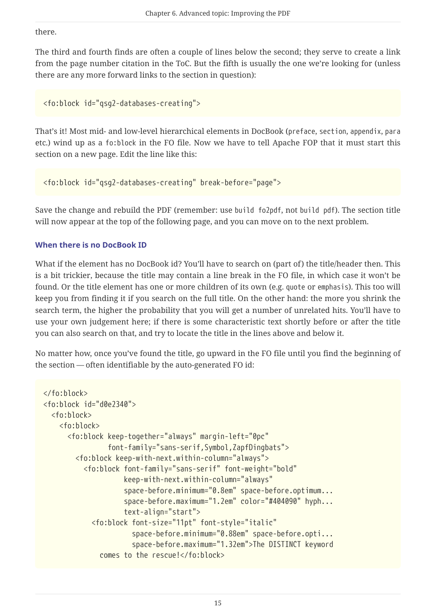there.

The third and fourth finds are often a couple of lines below the second; they serve to create a link from the page number citation in the ToC. But the fifth is usually the one we're looking for (unless there are any more forward links to the section in question):

```
<fo:block id="qsg2-databases-creating">
```
That's it! Most mid- and low-level hierarchical elements in DocBook (preface, section, appendix, para etc.) wind up as a fo:block in the FO file. Now we have to tell Apache FOP that it must start this section on a new page. Edit the line like this:

<fo:block id="qsg2-databases-creating" break-before="page">

Save the change and rebuild the PDF (remember: use build fo2pdf, not build pdf). The section title will now appear at the top of the following page, and you can move on to the next problem.

#### **When there is no DocBook ID**

What if the element has no DocBook id? You'll have to search on (part of) the title/header then. This is a bit trickier, because the title may contain a line break in the FO file, in which case it won't be found. Or the title element has one or more children of its own (e.g. quote or emphasis). This too will keep you from finding it if you search on the full title. On the other hand: the more you shrink the search term, the higher the probability that you will get a number of unrelated hits. You'll have to use your own judgement here; if there is some characteristic text shortly before or after the title you can also search on that, and try to locate the title in the lines above and below it.

No matter how, once you've found the title, go upward in the FO file until you find the beginning of the section — often identifiable by the auto-generated FO id:

```
</fo:block>
<fo:block id="d0e2340">
    <fo:block>
      <fo:block>
        <fo:block keep-together="always" margin-left="0pc"
                   font-family="sans-serif,Symbol,ZapfDingbats">
          <fo:block keep-with-next.within-column="always">
            <fo:block font-family="sans-serif" font-weight="bold"
                       keep-with-next.within-column="always"
                       space-before.minimum="0.8em" space-before.optimum...
                       space-before.maximum="1.2em" color="#404090" hyph...
                       text-align="start">
              <fo:block font-size="11pt" font-style="italic"
                         space-before.minimum="0.88em" space-before.opti...
                         space-before.maximum="1.32em">The DISTINCT keyword
                comes to the rescue!</fo:block>
```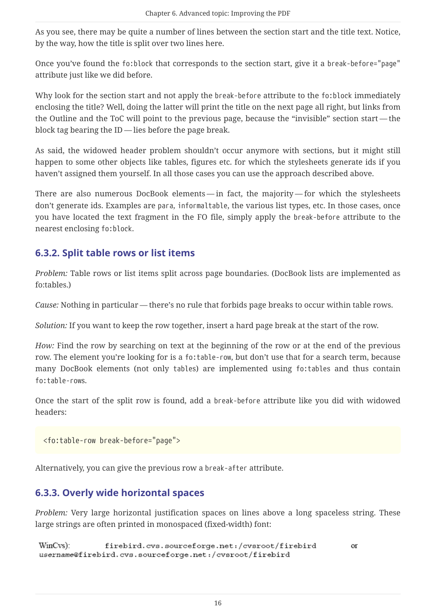As you see, there may be quite a number of lines between the section start and the title text. Notice, by the way, how the title is split over two lines here.

Once you've found the fo:block that corresponds to the section start, give it a break-before="page" attribute just like we did before.

Why look for the section start and not apply the break-before attribute to the fo:block immediately enclosing the title? Well, doing the latter will print the title on the next page all right, but links from the Outline and the ToC will point to the previous page, because the "invisible" section start — the block tag bearing the ID — lies before the page break.

As said, the widowed header problem shouldn't occur anymore with sections, but it might still happen to some other objects like tables, figures etc. for which the stylesheets generate ids if you haven't assigned them yourself. In all those cases you can use the approach described above.

There are also numerous DocBook elements — in fact, the majority — for which the stylesheets don't generate ids. Examples are para, informaltable, the various list types, etc. In those cases, once you have located the text fragment in the FO file, simply apply the break-before attribute to the nearest enclosing fo:block.

### <span id="page-16-0"></span>**6.3.2. Split table rows or list items**

*Problem:* Table rows or list items split across page boundaries. (DocBook lists are implemented as fo:tables.)

*Cause:* Nothing in particular — there's no rule that forbids page breaks to occur within table rows.

*Solution:* If you want to keep the row together, insert a hard page break at the start of the row.

*How:* Find the row by searching on text at the beginning of the row or at the end of the previous row. The element you're looking for is a fo:table-row, but don't use that for a search term, because many DocBook elements (not only tables) are implemented using fo:tables and thus contain fo:table-rows.

Once the start of the split row is found, add a break-before attribute like you did with widowed headers:

<fo:table-row break-before="page">

Alternatively, you can give the previous row a break-after attribute.

### <span id="page-16-1"></span>**6.3.3. Overly wide horizontal spaces**

*Problem:* Very large horizontal justification spaces on lines above a long spaceless string. These large strings are often printed in monospaced (fixed-width) font:

WinCys): firebird.cvs.sourceforge.net:/cvsroot/firebird or username@firebird.cvs.sourceforge.net:/cvsroot/firebird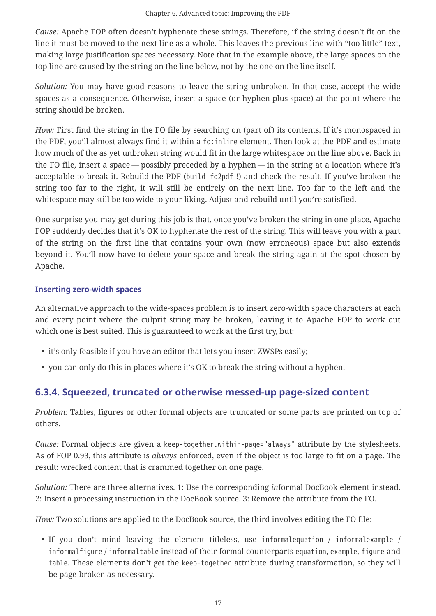*Cause:* Apache FOP often doesn't hyphenate these strings. Therefore, if the string doesn't fit on the line it must be moved to the next line as a whole. This leaves the previous line with "too little" text, making large justification spaces necessary. Note that in the example above, the large spaces on the top line are caused by the string on the line below, not by the one on the line itself.

*Solution:* You may have good reasons to leave the string unbroken. In that case, accept the wide spaces as a consequence. Otherwise, insert a space (or hyphen-plus-space) at the point where the string should be broken.

*How:* First find the string in the FO file by searching on (part of) its contents. If it's monospaced in the PDF, you'll almost always find it within a fo:inline element. Then look at the PDF and estimate how much of the as yet unbroken string would fit in the large whitespace on the line above. Back in the FO file, insert a space — possibly preceded by a hyphen — in the string at a location where it's acceptable to break it. Rebuild the PDF (build fo2pdf !) and check the result. If you've broken the string too far to the right, it will still be entirely on the next line. Too far to the left and the whitespace may still be too wide to your liking. Adjust and rebuild until you're satisfied.

One surprise you may get during this job is that, once you've broken the string in one place, Apache FOP suddenly decides that it's OK to hyphenate the rest of the string. This will leave you with a part of the string on the first line that contains your own (now erroneous) space but also extends beyond it. You'll now have to delete your space and break the string again at the spot chosen by Apache.

### **Inserting zero-width spaces**

An alternative approach to the wide-spaces problem is to insert zero-width space characters at each and every point where the culprit string may be broken, leaving it to Apache FOP to work out which one is best suited. This is guaranteed to work at the first try, but:

- it's only feasible if you have an editor that lets you insert ZWSPs easily;
- you can only do this in places where it's OK to break the string without a hyphen.

### <span id="page-17-0"></span>**6.3.4. Squeezed, truncated or otherwise messed-up page-sized content**

*Problem:* Tables, figures or other formal objects are truncated or some parts are printed on top of others.

*Cause:* Formal objects are given a keep-together.within-page="always" attribute by the stylesheets. As of FOP 0.93, this attribute is *always* enforced, even if the object is too large to fit on a page. The result: wrecked content that is crammed together on one page.

*Solution:* There are three alternatives. 1: Use the corresponding *in*formal DocBook element instead. 2: Insert a processing instruction in the DocBook source. 3: Remove the attribute from the FO.

*How:* Two solutions are applied to the DocBook source, the third involves editing the FO file:

• If you don't mind leaving the element titleless, use informalequation / informalexample / informalfigure / informaltable instead of their formal counterparts equation, example, figure and table. These elements don't get the keep-together attribute during transformation, so they will be page-broken as necessary.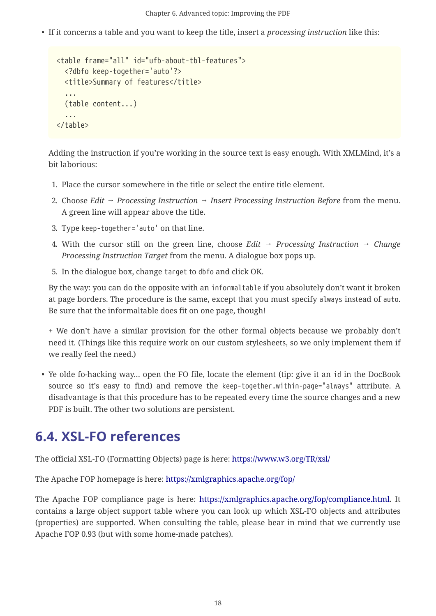• If it concerns a table and you want to keep the title, insert a *processing instruction* like this:

```
<table frame="all" id="ufb-about-tbl-features">
    <?dbfo keep-together='auto'?>
   <title>Summary of features</title>
    ...
    (table content...)
    ...
</table>
```
Adding the instruction if you're working in the source text is easy enough. With XMLMind, it's a bit laborious:

- 1. Place the cursor somewhere in the title or select the entire title element.
- 2. Choose *Edit → Processing Instruction → Insert Processing Instruction Before* from the menu. A green line will appear above the title.
- 3. Type keep-together='auto' on that line.
- 4. With the cursor still on the green line, choose *Edit → Processing Instruction → Change Processing Instruction Target* from the menu. A dialogue box pops up.
- 5. In the dialogue box, change target to dbfo and click OK.

By the way: you can do the opposite with an informaltable if you absolutely don't want it broken at page borders. The procedure is the same, except that you must specify always instead of auto. Be sure that the informaltable does fit on one page, though!

+ We don't have a similar provision for the other formal objects because we probably don't need it. (Things like this require work on our custom stylesheets, so we only implement them if we really feel the need.)

• Ye olde fo-hacking way… open the FO file, locate the element (tip: give it an id in the DocBook source so it's easy to find) and remove the keep-together.within-page="always" attribute. A disadvantage is that this procedure has to be repeated every time the source changes and a new PDF is built. The other two solutions are persistent.

## <span id="page-18-0"></span>**6.4. XSL-FO references**

The official XSL-FO (Formatting Objects) page is here: <https://www.w3.org/TR/xsl/>

The Apache FOP homepage is here: <https://xmlgraphics.apache.org/fop/>

The Apache FOP compliance page is here: <https://xmlgraphics.apache.org/fop/compliance.html>. It contains a large object support table where you can look up which XSL-FO objects and attributes (properties) are supported. When consulting the table, please bear in mind that we currently use Apache FOP 0.93 (but with some home-made patches).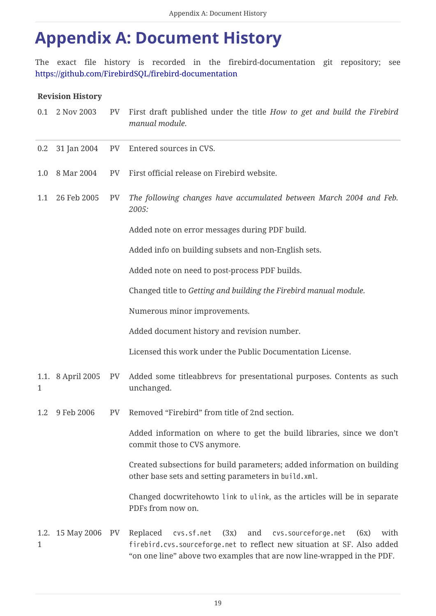## <span id="page-19-0"></span>**Appendix A: Document History**

The exact file history is recorded in the firebird-documentation git repository; see <https://github.com/FirebirdSQL/firebird-documentation>

#### **Revision History**

| 0.1          | 2 Nov 2003        | PV        | First draft published under the title How to get and build the Firebird<br>manual module.                                                                                                                                         |
|--------------|-------------------|-----------|-----------------------------------------------------------------------------------------------------------------------------------------------------------------------------------------------------------------------------------|
| 0.2          | 31 Jan 2004       | PV        | Entered sources in CVS.                                                                                                                                                                                                           |
| 1.0          | 8 Mar 2004        | <b>PV</b> | First official release on Firebird website.                                                                                                                                                                                       |
| 1.1          | 26 Feb 2005       | PV        | The following changes have accumulated between March 2004 and Feb.<br>2005:                                                                                                                                                       |
|              |                   |           | Added note on error messages during PDF build.                                                                                                                                                                                    |
|              |                   |           | Added info on building subsets and non-English sets.                                                                                                                                                                              |
|              |                   |           | Added note on need to post-process PDF builds.                                                                                                                                                                                    |
|              |                   |           | Changed title to Getting and building the Firebird manual module.                                                                                                                                                                 |
|              |                   |           | Numerous minor improvements.                                                                                                                                                                                                      |
|              |                   |           | Added document history and revision number.                                                                                                                                                                                       |
|              |                   |           | Licensed this work under the Public Documentation License.                                                                                                                                                                        |
| 1            | 1.1. 8 April 2005 | PV        | Added some titleabbrevs for presentational purposes. Contents as such<br>unchanged.                                                                                                                                               |
| 1.2          | 9 Feb 2006        | PV        | Removed "Firebird" from title of 2nd section.                                                                                                                                                                                     |
|              |                   |           | Added information on where to get the build libraries, since we don't<br>commit those to CVS anymore.                                                                                                                             |
|              |                   |           | Created subsections for build parameters; added information on building<br>other base sets and setting parameters in build.xml.                                                                                                   |
|              |                   |           | Changed docwritehowto link to ulink, as the articles will be in separate<br>PDFs from now on.                                                                                                                                     |
| $\mathbf{1}$ | 1.2. 15 May 2006  | PV        | cvs.sf.net<br>and<br>cvs.sourceforge.net<br>Replaced<br>(3x)<br>with<br>(6x)<br>firebird.cvs.sourceforge.net to reflect new situation at SF. Also added<br>"on one line" above two examples that are now line-wrapped in the PDF. |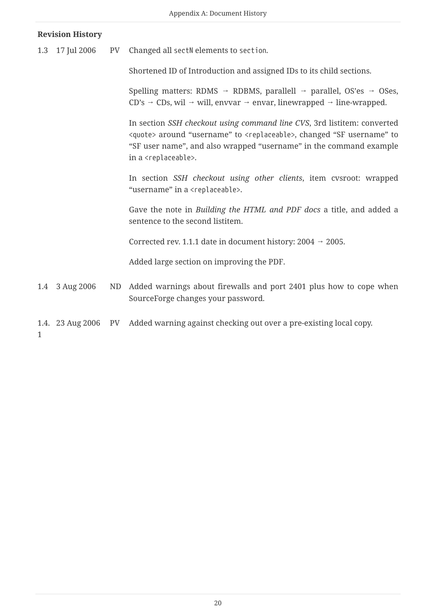#### **Revision History**

1.3 17 Jul 2006 PV Changed all sectN elements to section.

Shortened ID of Introduction and assigned IDs to its child sections.

Spelling matters: RDMS → RDBMS, parallell → parallel, OS'es → OSes,  $CD's \rightarrow CDS$ , wil  $\rightarrow$  will, envvar  $\rightarrow$  envar, linewrapped  $\rightarrow$  line-wrapped.

In section *SSH checkout using command line CVS*, 3rd listitem: converted <quote> around "username" to <replaceable>, changed "SF username" to "SF user name", and also wrapped "username" in the command example in a <replaceable>.

In section *SSH checkout using other clients*, item cvsroot: wrapped "username" in a <replaceable>.

Gave the note in *Building the HTML and PDF docs* a title, and added a sentence to the second listitem.

Corrected rev. 1.1.1 date in document history:  $2004 \rightarrow 2005$ .

Added large section on improving the PDF.

- 1.4 3 Aug 2006 ND Added warnings about firewalls and port 2401 plus how to cope when SourceForge changes your password.
- 1.4. 23 Aug 2006 PV Added warning against checking out over a pre-existing local copy.

1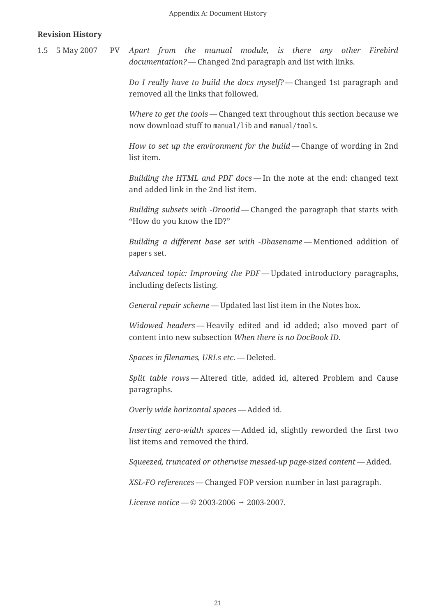#### **Revision History**

1.5 5 May 2007 PV *Apart from the manual module, is there any other Firebird documentation?* — Changed 2nd paragraph and list with links.

> *Do I really have to build the docs myself?* — Changed 1st paragraph and removed all the links that followed.

> *Where to get the tools* — Changed text throughout this section because we now download stuff to manual/lib and manual/tools.

> *How to set up the environment for the build* — Change of wording in 2nd list item.

> *Building the HTML and PDF docs* — In the note at the end: changed text and added link in the 2nd list item.

> *Building subsets with -Drootid* — Changed the paragraph that starts with "How do you know the ID?"

> *Building a different base set with -Dbasename* — Mentioned addition of papers set.

> *Advanced topic: Improving the PDF* — Updated introductory paragraphs, including defects listing.

*General repair scheme* — Updated last list item in the Notes box.

*Widowed headers* — Heavily edited and id added; also moved part of content into new subsection *When there is no DocBook ID*.

*Spaces in filenames, URLs etc*. — Deleted.

*Split table rows* — Altered title, added id, altered Problem and Cause paragraphs.

*Overly wide horizontal spaces* — Added id.

*Inserting zero-width spaces* — Added id, slightly reworded the first two list items and removed the third.

*Squeezed, truncated or otherwise messed-up page-sized content* — Added.

*XSL-FO references* — Changed FOP version number in last paragraph.

*License notice* — © 2003-2006 → 2003-2007.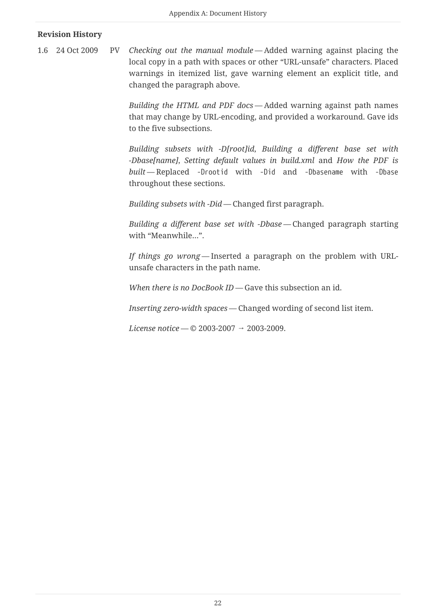#### **Revision History**

1.6 24 Oct 2009 PV *Checking out the manual module* — Added warning against placing the local copy in a path with spaces or other "URL-unsafe" characters. Placed warnings in itemized list, gave warning element an explicit title, and changed the paragraph above.

> *Building the HTML and PDF docs* — Added warning against path names that may change by URL-encoding, and provided a workaround. Gave ids to the five subsections.

> *Building subsets with -D[root]id*, *Building a different base set with -Dbase[name]*, *Setting default values in build.xml* and *How the PDF is built* — Replaced -Drootid with -Did and -Dbasename with -Dbase throughout these sections.

*Building subsets with -Did* — Changed first paragraph.

*Building a different base set with -Dbase* — Changed paragraph starting with "Meanwhile…".

*If things go wrong* — Inserted a paragraph on the problem with URLunsafe characters in the path name.

*When there is no DocBook ID* — Gave this subsection an id.

*Inserting zero-width spaces* — Changed wording of second list item.

*License notice* — © 2003-2007 → 2003-2009.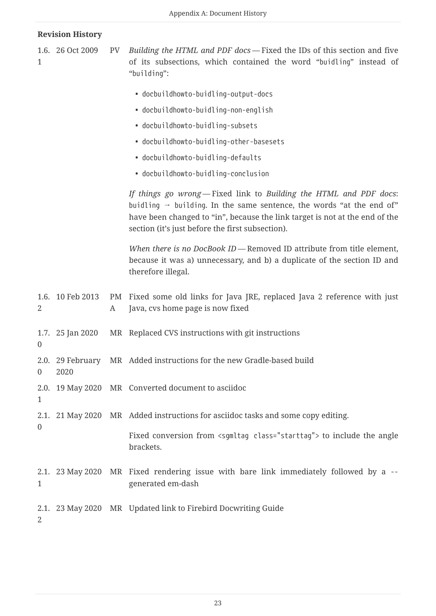| 1                | 1.6. 26 Oct 2009         | PV      | Building the HTML and PDF docs - Fixed the IDs of this section and five<br>of its subsections, which contained the word "buidling" instead of<br>"building":                                                                                                                              |
|------------------|--------------------------|---------|-------------------------------------------------------------------------------------------------------------------------------------------------------------------------------------------------------------------------------------------------------------------------------------------|
|                  |                          |         | · docbuildhowto-buidling-output-docs                                                                                                                                                                                                                                                      |
|                  |                          |         | • docbuildhowto-buidling-non-english                                                                                                                                                                                                                                                      |
|                  |                          |         | · docbuildhowto-buidling-subsets                                                                                                                                                                                                                                                          |
|                  |                          |         | · docbuildhowto-buidling-other-basesets                                                                                                                                                                                                                                                   |
|                  |                          |         | · docbuildhowto-buidling-defaults                                                                                                                                                                                                                                                         |
|                  |                          |         | • docbuildhowto-buidling-conclusion                                                                                                                                                                                                                                                       |
|                  |                          |         | If things go wrong - Fixed link to Building the HTML and PDF docs:<br>buidling $\rightarrow$ building. In the same sentence, the words "at the end of"<br>have been changed to "in", because the link target is not at the end of the<br>section (it's just before the first subsection). |
|                  |                          |         | When there is no DocBook ID - Removed ID attribute from title element,<br>because it was a) unnecessary, and b) a duplicate of the section ID and<br>therefore illegal.                                                                                                                   |
| $\overline{2}$   | 1.6. 10 Feb 2013         | PM<br>A | Fixed some old links for Java JRE, replaced Java 2 reference with just<br>Java, cvs home page is now fixed                                                                                                                                                                                |
| $\overline{0}$   | 1.7. 25 Jan 2020         |         | MR Replaced CVS instructions with git instructions                                                                                                                                                                                                                                        |
| $\boldsymbol{0}$ | 2.0. 29 February<br>2020 |         | MR Added instructions for the new Gradle-based build                                                                                                                                                                                                                                      |
| 1                |                          |         | 2.0. 19 May 2020 MR Converted document to asciidoc                                                                                                                                                                                                                                        |
|                  |                          |         | 2.1. 21 May 2020 MR Added instructions for asciidoc tasks and some copy editing.                                                                                                                                                                                                          |
| $\overline{0}$   |                          |         | Fixed conversion from <sgmltag class="starttag"> to include the angle<br/>brackets.</sgmltag>                                                                                                                                                                                             |
| 1                | 2.1. 23 May 2020         |         | MR Fixed rendering issue with bare link immediately followed by a --<br>generated em-dash                                                                                                                                                                                                 |
|                  |                          |         | 2.1. 23 May 2020 MR Updated link to Firebird Docwriting Guide                                                                                                                                                                                                                             |

2